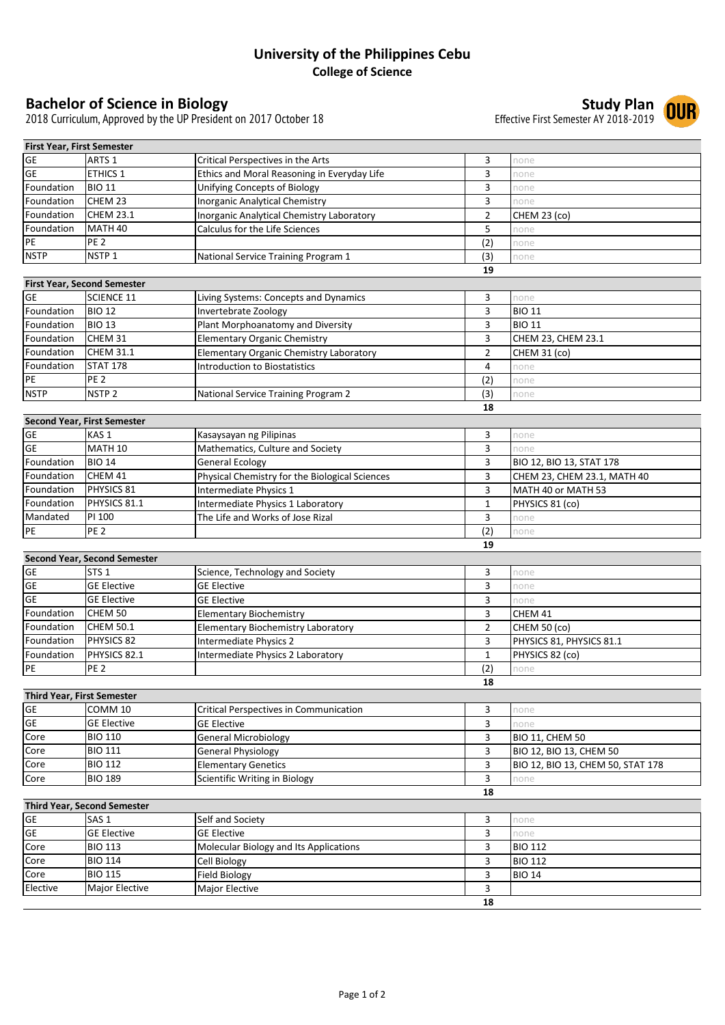## **University of the Philippines Cebu College of Science**

**Bachelor of Science in Biology**<br>2018 Curriculum, Approved by the UP President on 2017 October 18<br>2018 Curriculum, Approved by the UP President on 2017 October 18 2018 Curriculum, Approved by the UP President on 2017 October 18

| First Year, First Semester         |                                     |                                                |                |                                   |
|------------------------------------|-------------------------------------|------------------------------------------------|----------------|-----------------------------------|
| <b>GE</b>                          | ARTS <sub>1</sub>                   | Critical Perspectives in the Arts              | 3              | none                              |
| GE                                 | <b>ETHICS 1</b>                     | Ethics and Moral Reasoning in Everyday Life    | 3              | none                              |
| Foundation                         | <b>BIO 11</b>                       | Unifying Concepts of Biology                   | 3              | none                              |
| Foundation                         | CHEM 23                             | <b>Inorganic Analytical Chemistry</b>          | 3              | none                              |
| Foundation                         | <b>CHEM 23.1</b>                    | Inorganic Analytical Chemistry Laboratory      | $\overline{2}$ | CHEM 23 (co)                      |
| Foundation                         | MATH <sub>40</sub>                  | Calculus for the Life Sciences                 | 5              | none                              |
| $\mathsf{PE}$                      | PE <sub>2</sub>                     |                                                | (2)            | none                              |
| <b>NSTP</b>                        | NSTP <sub>1</sub>                   | National Service Training Program 1            | (3)            | none                              |
|                                    |                                     |                                                | 19             |                                   |
|                                    | <b>First Year, Second Semester</b>  |                                                |                |                                   |
| <b>GE</b>                          | <b>SCIENCE 11</b>                   | Living Systems: Concepts and Dynamics          | 3              | none                              |
| Foundation                         | <b>BIO 12</b>                       | Invertebrate Zoology                           | 3              | <b>BIO 11</b>                     |
| Foundation                         | <b>BIO 13</b>                       | Plant Morphoanatomy and Diversity              | 3              | <b>BIO 11</b>                     |
| Foundation                         | CHEM 31                             | <b>Elementary Organic Chemistry</b>            | 3              | CHEM 23, CHEM 23.1                |
| Foundation                         | <b>CHEM 31.1</b>                    | Elementary Organic Chemistry Laboratory        | $\overline{2}$ | <b>CHEM 31 (co)</b>               |
| Foundation                         | <b>STAT 178</b>                     | <b>Introduction to Biostatistics</b>           | 4              | none                              |
| PE                                 | PE <sub>2</sub>                     |                                                | (2)            | none                              |
| <b>NSTP</b>                        | NSTP <sub>2</sub>                   | National Service Training Program 2            | (3)            | none                              |
|                                    |                                     |                                                | 18             |                                   |
|                                    | <b>Second Year, First Semester</b>  |                                                |                |                                   |
| <b>GE</b>                          | KAS <sub>1</sub>                    | Kasaysayan ng Pilipinas                        | 3              | none                              |
| <b>GE</b>                          | <b>MATH 10</b>                      | Mathematics, Culture and Society               | 3              | none                              |
| Foundation                         | <b>BIO 14</b>                       | <b>General Ecology</b>                         | 3              | BIO 12, BIO 13, STAT 178          |
| Foundation                         | CHEM 41                             | Physical Chemistry for the Biological Sciences | 3              | CHEM 23, CHEM 23.1, MATH 40       |
| Foundation                         | PHYSICS 81                          | Intermediate Physics 1                         | 3              | MATH 40 or MATH 53                |
| Foundation                         | PHYSICS 81.1                        | Intermediate Physics 1 Laboratory              | $\mathbf{1}$   | PHYSICS 81 (co)                   |
| Mandated                           | PI 100                              | The Life and Works of Jose Rizal               | 3              | none                              |
| $\mathsf{PE}$                      | PE <sub>2</sub>                     |                                                | (2)            | none                              |
|                                    |                                     |                                                | 19             |                                   |
|                                    | <b>Second Year, Second Semester</b> |                                                |                |                                   |
| <b>GE</b>                          | STS <sub>1</sub>                    | Science, Technology and Society                | 3              | none                              |
| GE                                 | <b>GE Elective</b>                  | <b>GE Elective</b>                             | 3              | none                              |
| <b>GE</b>                          | <b>GE Elective</b>                  | <b>GE Elective</b>                             | 3              | none                              |
| Foundation                         | CHEM 50                             | <b>Elementary Biochemistry</b>                 | 3              | CHEM 41                           |
| Foundation                         | <b>CHEM 50.1</b>                    | Elementary Biochemistry Laboratory             | $\overline{2}$ | CHEM 50 (co)                      |
| Foundation                         | PHYSICS 82                          | Intermediate Physics 2                         | 3              | PHYSICS 81, PHYSICS 81.1          |
| Foundation                         | PHYSICS 82.1                        | Intermediate Physics 2 Laboratory              | $\mathbf 1$    | PHYSICS 82 (co)                   |
| PE                                 | <b>PE 2</b>                         |                                                | (2)            | none                              |
|                                    |                                     |                                                | 18             |                                   |
| <b>Third Year, First Semester</b>  |                                     |                                                |                |                                   |
| GE                                 | COMM 10                             | <b>Critical Perspectives in Communication</b>  | 3              | none                              |
| GE                                 | <b>GE Elective</b>                  | <b>GE Elective</b>                             | 3              | none                              |
| Core                               | <b>BIO 110</b>                      | <b>General Microbiology</b>                    | 3              | <b>BIO 11, CHEM 50</b>            |
| Core                               | <b>BIO 111</b>                      | <b>General Physiology</b>                      | 3              | BIO 12, BIO 13, CHEM 50           |
| Core                               | <b>BIO 112</b>                      | <b>Elementary Genetics</b>                     | 3              | BIO 12, BIO 13, CHEM 50, STAT 178 |
| Core                               | <b>BIO 189</b>                      | Scientific Writing in Biology                  | 3              | none                              |
|                                    |                                     |                                                | 18             |                                   |
| <b>Third Year, Second Semester</b> |                                     |                                                |                |                                   |
| GE                                 | SAS <sub>1</sub>                    | Self and Society                               | 3              | none                              |
| GE                                 | <b>GE Elective</b>                  | <b>GE Elective</b>                             | 3              | none                              |
| Core                               | <b>BIO 113</b>                      | Molecular Biology and Its Applications         | 3              | <b>BIO 112</b>                    |
| Core                               | <b>BIO 114</b>                      | Cell Biology                                   | 3              | <b>BIO 112</b>                    |
| Core                               | <b>BIO 115</b>                      | <b>Field Biology</b>                           | 3              | <b>BIO 14</b>                     |
| Elective                           | Major Elective                      | Major Elective                                 | 3              |                                   |
|                                    |                                     |                                                | 18             |                                   |